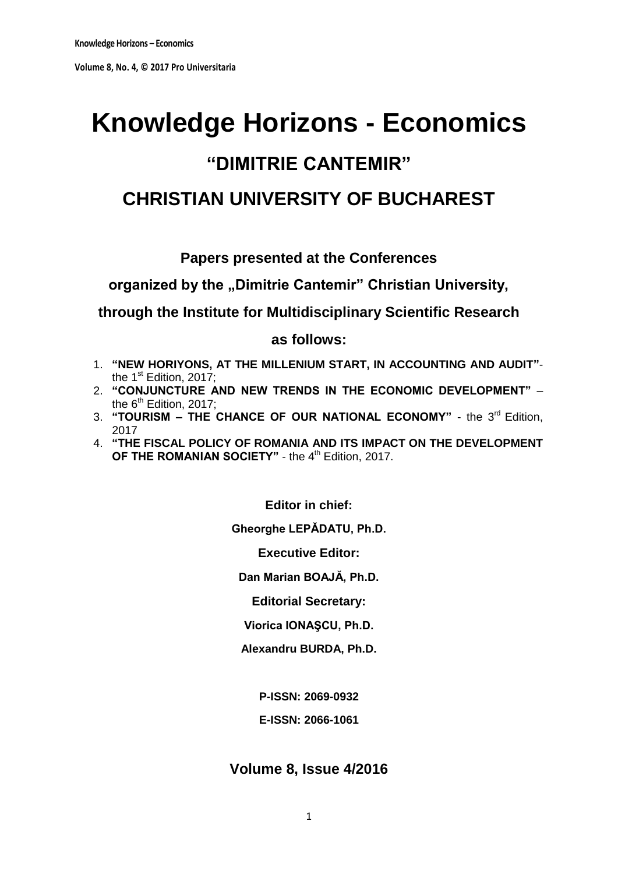# **Knowledge Horizons - Economics "DIMITRIE CANTEMIR"**

## **CHRISTIAN UNIVERSITY OF BUCHAREST**

## **Papers presented at the Conferences**

organized by the "Dimitrie Cantemir" Christian University,

**through the Institute for Multidisciplinary Scientific Research**

**as follows:**

- 1. **"NEW HORIYONS, AT THE MILLENIUM START, IN ACCOUNTING AND AUDIT"** the 1<sup>st</sup> Edition, 2017;
- 2. **"CONJUNCTURE AND NEW TRENDS IN THE ECONOMIC DEVELOPMENT"**  the  $6<sup>th</sup>$  Edition, 2017;
- 3. "TOURISM THE CHANCE OF OUR NATIONAL ECONOMY" the 3<sup>rd</sup> Edition, 2017
- 4. **"THE FISCAL POLICY OF ROMANIA AND ITS IMPACT ON THE DEVELOPMENT**  OF THE ROMANIAN SOCIETY" - the 4<sup>th</sup> Edition, 2017.

**Editor in chief: Gheorghe LEPĂDATU, Ph.D. Executive Editor: Dan Marian BOAJĂ, Ph.D. Editorial Secretary:**

**Viorica IONAŞCU, Ph.D.**

**Alexandru BURDA, Ph.D.**

**P-ISSN: 2069-0932**

**E-ISSN: 2066-1061**

## **Volume 8, Issue 4/2016**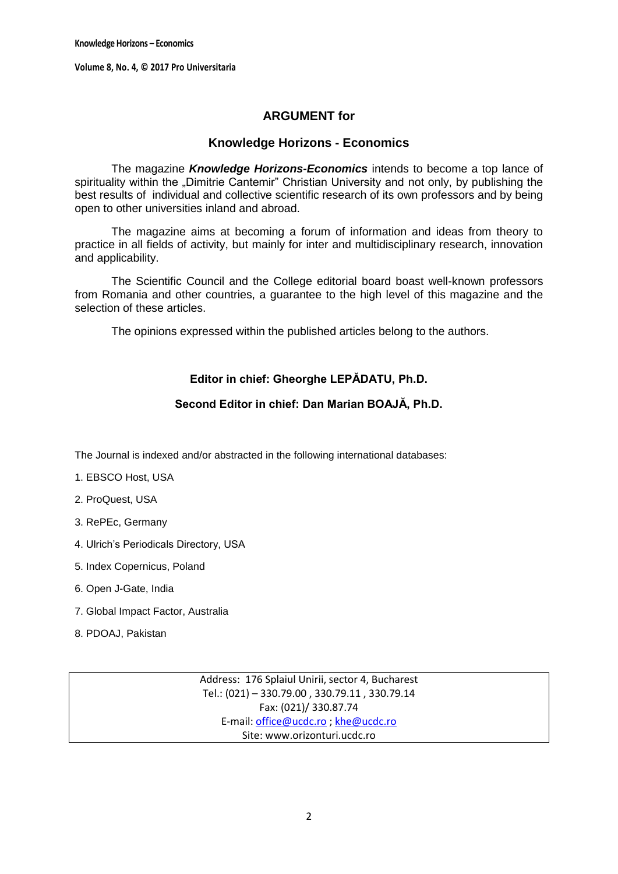## **ARGUMENT for**

## **Knowledge Horizons - Economics**

The magazine *Knowledge Horizons-Economics* intends to become a top lance of spirituality within the "Dimitrie Cantemir" Christian University and not only, by publishing the best results of individual and collective scientific research of its own professors and by being open to other universities inland and abroad.

The magazine aims at becoming a forum of information and ideas from theory to practice in all fields of activity, but mainly for inter and multidisciplinary research, innovation and applicability.

The Scientific Council and the College editorial board boast well-known professors from Romania and other countries, a guarantee to the high level of this magazine and the selection of these articles.

The opinions expressed within the published articles belong to the authors.

## **Editor in chief: Gheorghe LEPĂDATU, Ph.D.**

## **Second Editor in chief: Dan Marian BOAJĂ, Ph.D.**

The Journal is indexed and/or abstracted in the following international databases:

- 1. EBSCO Host, USA
- 2. ProQuest, USA
- 3. RePEc, Germany
- 4. Ulrich's Periodicals Directory, USA
- 5. Index Copernicus, Poland
- 6. Open J-Gate, India
- 7. Global Impact Factor, Australia
- 8. PDOAJ, Pakistan

Address: 176 Splaiul Unirii, sector 4, Bucharest Tel.: (021) – 330.79.00 , 330.79.11 , 330.79.14 Fax: (021)/ 330.87.74 E-mail[: office@ucdc.ro](mailto:office@ucdc.ro) [; khe@ucdc.ro](mailto:khe@ucdc.ro) Site: www.orizonturi.ucdc.ro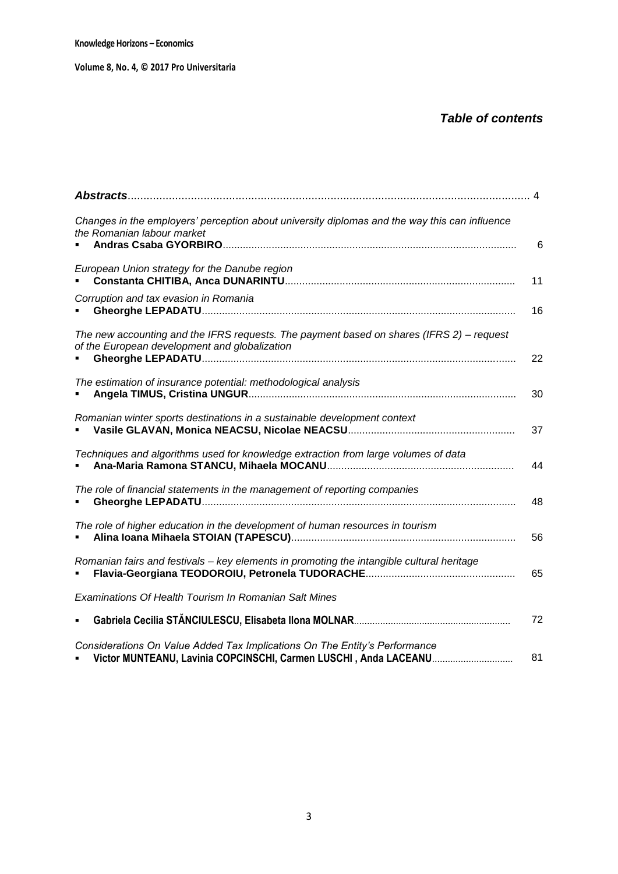## *Table of contents*

|                                                                                                                                                | . 4 |
|------------------------------------------------------------------------------------------------------------------------------------------------|-----|
| Changes in the employers' perception about university diplomas and the way this can influence<br>the Romanian labour market                    | 6   |
| European Union strategy for the Danube region                                                                                                  | 11  |
| Corruption and tax evasion in Romania                                                                                                          | 16  |
| The new accounting and the IFRS requests. The payment based on shares (IFRS 2) – request<br>of the European development and globalization      | 22  |
| The estimation of insurance potential: methodological analysis                                                                                 | 30  |
| Romanian winter sports destinations in a sustainable development context                                                                       | 37  |
| Techniques and algorithms used for knowledge extraction from large volumes of data                                                             | 44  |
| The role of financial statements in the management of reporting companies                                                                      | 48  |
| The role of higher education in the development of human resources in tourism                                                                  | 56  |
| Romanian fairs and festivals – key elements in promoting the intangible cultural heritage<br>$\blacksquare$                                    | 65  |
| Examinations Of Health Tourism In Romanian Salt Mines                                                                                          |     |
|                                                                                                                                                | 72  |
| Considerations On Value Added Tax Implications On The Entity's Performance<br>Victor MUNTEANU, Lavinia COPCINSCHI, Carmen LUSCHI, Anda LACEANU | 81  |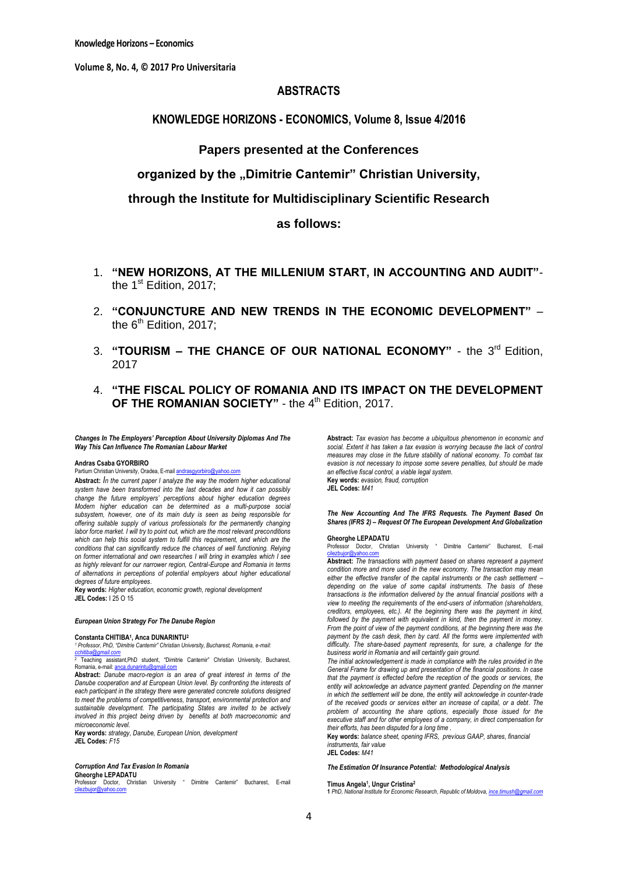## **ABSTRACTS**

## **KNOWLEDGE HORIZONS - ECONOMICS, Volume 8, Issue 4/2016**

## **Papers presented at the Conferences**

## organized by the "Dimitrie Cantemir" Christian University,

**through the Institute for Multidisciplinary Scientific Research**

## **as follows:**

- 1. **"NEW HORIZONS, AT THE MILLENIUM START, IN ACCOUNTING AND AUDIT"** the 1<sup>st</sup> Edition, 2017:
- 2. **"CONJUNCTURE AND NEW TRENDS IN THE ECONOMIC DEVELOPMENT"**  the  $6<sup>th</sup>$  Edition, 2017:
- 3. **"TOURISM THE CHANCE OF OUR NATIONAL ECONOMY"** the 3<sup>rd</sup> Edition, 2017
- 4. **"THE FISCAL POLICY OF ROMANIA AND ITS IMPACT ON THE DEVELOPMENT OF THE ROMANIAN SOCIETY"** - the 4<sup>th</sup> Edition, 2017.

*Changes In The Employers' Perception About University Diplomas And The Way This Can Influence The Romanian Labour Market* 

#### **Andras Csaba GYORBIRO**

#### Partium Christian University, Oradea, E-mai[l andrasgyorbiro@yahoo.com](mailto:andrasgyorbiro@yahoo.com)

**Abstract:** *In the current paper I analyze the way the modern higher educational system have been transformed into the last decades and how it can possibly change the future employers" perceptions about higher education degrees Modern higher education can be determined as a multi-purpose social subsystem, however, one of its main duty is seen as being responsible for offering suitable supply of various professionals for the permanently changing labor force market. I will try to point out, which are the most relevant preconditions*  which can help this social system to fulfill this requirement, and which are the *conditions that can significantly reduce the chances of well functioning. Relying on former international and own researches I will bring in examples which I see as highly relevant for our narrower region, Central-Europe and Romania in terms of alternations in perceptions of potential employers about higher educational degrees of future employees*.

**Key words:** *Higher education, economic growth, regional development* **JEL Codes:** I 25 O 15

#### *European Union Strategy For The Danube Region*

#### **Constanta CHITIBA<sup>1</sup> , Anca DUNARINTU<sup>2</sup>**

*<sup>1</sup> Professor, PhD, "Dimitrie Cantemir" Christian University, Bucharest, Romania, e-mail: [cchitiba@gmail.com](mailto:cchitiba@gmail.com)*

<sup>2</sup> Teaching assistant,PhD student, "Dimitrie Cantemir" Christian University, Bucharest, Romania, e-mail: anca.

**Abstract:** *Danube macro-region is an area of great interest in terms of the Danube cooperation and at European Union level. By confronting the interests of*  each participant in the strategy there were generated concrete solutions designed *to meet the problems of competitiveness, transport, environmental protection and sustainable development. The participating States are invited to be actively involved in this project being driven by benefits at both macroeconomic and microeconomic level.*

**Key words:** *strategy, Danube, European Union, development* **JEL Codes:** *F15*

#### *Corruption And Tax Evasion In Romania*

**Gheorghe LEPADATU** Professor Doctor, Christian University " Dimitrie Cantemir" Bucharest, E-mail<br><u>[cilezbujor@yahoo.com](mailto:cilezbujor@yahoo.com)</u> **Abstract:** *Tax evasion has become a ubiquitous phenomenon in economic and*  social. Extent it has taken a tax evasion is worrying because the lack of control *measures may close in the future stability of national economy. To combat tax evasion is not necessary to impose some severe penalties, but should be made an effective fiscal control, a viable legal system.* **Key words:** *evasion, fraud, corruption*

**JEL Codes:** *M41*

*The New Accounting And The IFRS Requests. The Payment Based On Shares (IFRS 2) – Request Of The European Development And Globalization*

#### **Gheorghe LEPADATU**

Professor Doctor, Christian University " Dimitrie Cantemir" Bucharest, E-mail

[cilezbujor@yahoo.com](mailto:cilezbujor@yahoo.com) **Abstract:** *The transactions with payment based on shares represent a payment condition more and more used in the new economy. The transaction may mean*  either the effective transfer of the capital instruments or the cash settlement *depending on the value of some capital instruments. The basis of these transactions is the information delivered by the annual financial positions with a view to meeting the requirements of the end-users of information (shareholders, creditors, employees, etc.). At the beginning there was the payment in kind,*  followed by the payment with equivalent in kind, then the payment in money. *From the point of view of the payment conditions, at the beginning there was the payment by the cash desk, then by card. All the forms were implemented with difficulty. The share-based payment represents, for sure, a challenge for the business world in Romania and will certaintly gain ground.*

*The initial acknowledgement is made in compliance with the rules provided in the General Frame for drawing up and presentation of the financial positions. In case that the payment is effected before the reception of the goods or services, the entity will acknowledge an advance payment granted. Depending on the manner in which the settlement will be done, the entity will acknowledge in counter-trade of the received goods or services either an increase of capital, or a debt. The problem of accounting the share options, especially those issued for the*  executive staff and for other employees of a company, in direct compensation for *their efforts, has been disputed for a long time .*

**Key words:** *balance sheet, opening IFRS, previous GAAP, shares, financial instruments, fair value*

**JEL Codes:** *M41*

*The Estimation Of Insurance Potential: Methodological Analysis*

#### **Timus Angela<sup>1</sup> , Ungur Cristina<sup>2</sup>**

**1** *PhD, National Institute for Economic Research, Republic of Moldova[, ince.timush@gmail.com](mailto:ince.timush@gmail.com)*